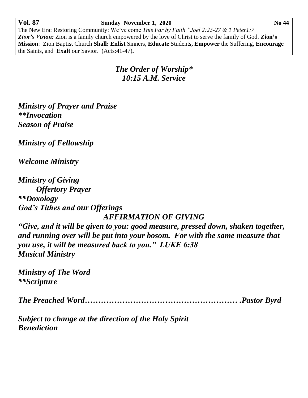## **Vol. 87****Sunday November 1, 2020 No 44**

The New Era: Restoring Community: We've come *This Far by Faith "Joel 2:25-27 & 1 Peter1:7 Zion's Vision:* Zion is a family church empowered by the love of Christ to serve the family of God. **Zion's Mission**: Zion Baptist Church **Shall: Enlist** Sinners, **Educate** Student**s, Empower** the Suffering, **Encourage** the Saints, and **Exalt** our Savior. (Acts:41-47)**.**

## *The Order of Worship\* 10:15 A.M. Service*

*Ministry of Prayer and Praise \*\*Invocation Season of Praise*

*Ministry of Fellowship*

*Welcome Ministry*

*Ministry of Giving Offertory Prayer \*\*Doxology God's Tithes and our Offerings AFFIRMATION OF GIVING*

*"Give, and it will be given to you: good measure, pressed down, shaken together, and running over will be put into your bosom. For with the same measure that you use, it will be measured back to you." LUKE 6:38 Musical Ministry*

*Ministry of The Word \*\*Scripture*

*The Preached Word………………………………………………… .Pastor Byrd*

*Subject to change at the direction of the Holy Spirit Benediction*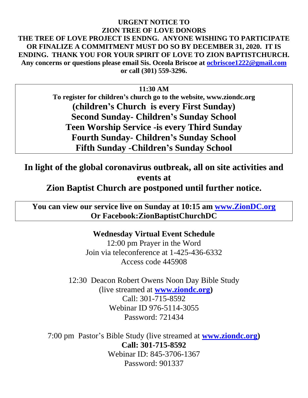## **URGENT NOTICE TO ZION TREE OF LOVE DONORS THE TREE OF LOVE PROJECT IS ENDNG. ANYONE WISHING TO PARTICIPATE OR FINALIZE A COMMITMENT MUST DO SO BY DECEMBER 31, 2020. IT IS ENDING. THANK YOU FOR YOUR SPIRIT OF LOVE TO ZION BAPTISTCHURCH. Any concerns or questions please email Sis. Oceola Briscoe at [ocbriscoe1222@gmail.com](mailto:ocbriscoe1222@gmail.com) or call (301) 559-3296.**

**11:30 AM**

**To register for children's church go to the website, www.ziondc.org (children's Church is every First Sunday) Second Sunday- Children's Sunday School Teen Worship Service -is every Third Sunday Fourth Sunday- Children's Sunday School Fifth Sunday -Children's Sunday School**

**In light of the global coronavirus outbreak, all on site activities and events at**

**Zion Baptist Church are postponed until further notice.**

**You can view our service live on Sunday at 10:15 am [www.ZionDC.org](http://www.ziondc.org/) Or Facebook:ZionBaptistChurchDC**

> **Wednesday Virtual Event Schedule** 12:00 pm Prayer in the Word Join via teleconference at 1-425-436-6332 Access code 445908

12:30 Deacon Robert Owens Noon Day Bible Study (live streamed at **[www.ziondc.org\)](http://www.ziondc.org/)** Call: 301-715-8592 Webinar ID 976-5114-3055 Password: 721434

7:00 pm Pastor's Bible Study (live streamed at **[www.ziondc.org\)](http://www.ziondc.org/) Call: 301-715-8592** Webinar ID: 845-3706-1367 Password: 901337